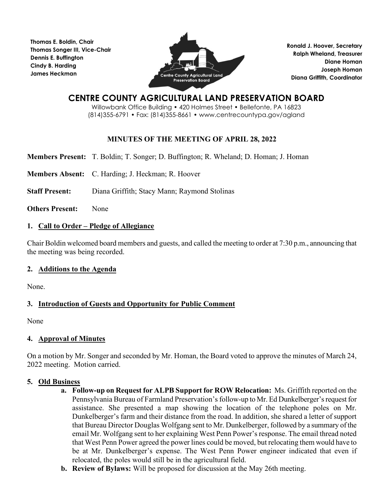**Thomas E. Boldin, Chair Thomas Songer III, Vice-Chair Dennis E. Buffington Cindy B. Harding James Heckman**



**Ronald J. Hoover, Secretary Ralph Wheland, Treasurer Diane Homan Joseph Homan Diana Griffith, Coordinator**

# **CENTRE COUNTY AGRICULTURAL LAND PRESERVATION BOARD**

Willowbank Office Building • 420 Holmes Street • Bellefonte, PA 16823 (814)355-6791 • Fax: (814)355-8661 • www.centrecountypa.gov/agland

## **MINUTES OF THE MEETING OF APRIL 28, 2022**

**Members Present:** T. Boldin; T. Songer; D. Buffington; R. Wheland; D. Homan; J. Homan

**Members Absent:** C. Harding; J. Heckman; R. Hoover

**Staff Present:** Diana Griffith; Stacy Mann; Raymond Stolinas

**Others Present:** None

## **1. Call to Order – Pledge of Allegiance**

Chair Boldin welcomed board members and guests, and called the meeting to order at 7:30 p.m., announcing that the meeting was being recorded.

## **2. Additions to the Agenda**

None.

## **3. Introduction of Guests and Opportunity for Public Comment**

None

## **4. Approval of Minutes**

On a motion by Mr. Songer and seconded by Mr. Homan, the Board voted to approve the minutes of March 24, 2022 meeting. Motion carried.

## **5. Old Business**

- **a. Follow-up on Request for ALPB Support for ROW Relocation:** Ms. Griffith reported on the Pennsylvania Bureau of Farmland Preservation's follow-up to Mr. Ed Dunkelberger's request for assistance. She presented a map showing the location of the telephone poles on Mr. Dunkelberger's farm and their distance from the road. In addition, she shared a letter of support that Bureau Director Douglas Wolfgang sent to Mr. Dunkelberger, followed by a summary of the email Mr. Wolfgang sent to her explaining West Penn Power's response. The email thread noted that West Penn Power agreed the power lines could be moved, but relocating them would have to be at Mr. Dunkelberger's expense. The West Penn Power engineer indicated that even if relocated, the poles would still be in the agricultural field.
- **b. Review of Bylaws:** Will be proposed for discussion at the May 26th meeting.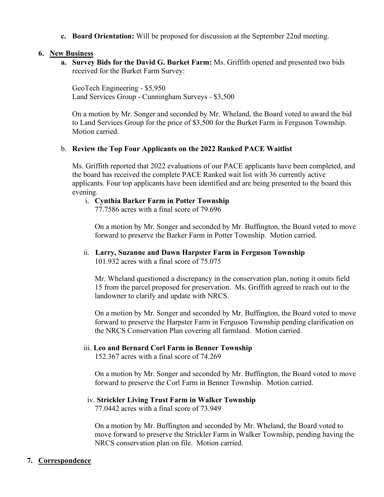**c. Board Orientation:** Will be proposed for discussion at the September 22nd meeting.

#### **6. New Business**

**a. Survey Bids for the David G. Burket Farm:** Ms. Griffith opened and presented two bids received for the Burket Farm Survey:

GeoTech Engineering - \$5,950 Land Services Group - Cunningham Surveys - \$3,500

On a motion by Mr. Songer and seconded by Mr. Wheland, the Board voted to award the bid to Land Services Group for the price of \$3,500 for the Burket Farm in Ferguson Township. Motion carried.

#### b. **Review the Top Four Applicants on the 2022 Ranked PACE Waitlist**

Ms. Griffith reported that 2022 evaluations of our PACE applicants have been completed, and the board has received the complete PACE Ranked wait list with 36 currently active applicants. Four top applicants have been identified and are being presented to the board this evening.

### i. **Cynthia Barker Farm in Potter Township**

77.7586 acres with a final score of 79.696

On a motion by Mr. Songer and seconded by Mr. Buffington, the Board voted to move forward to preserve the Barker Farm in Potter Township. Motion carried.

ii. **Larry, Suzanne and Dawn Harpster Farm in Ferguson Township**

101.932 acres with a final score of 75.075

Mr. Wheland questioned a discrepancy in the conservation plan, noting it omits field 15 from the parcel proposed for preservation. Ms. Griffith agreed to reach out to the landowner to clarify and update with NRCS.

On a motion by Mr. Songer and seconded by Mr. Buffington, the Board voted to move forward to preserve the Harpster Farm in Ferguson Township pending clarification on the NRCS Conservation Plan covering all farmland. Motion carried.

#### iii. **Leo and Bernard Corl Farm in Benner Township**

152.367 acres with a final score of 74.269

On a motion by Mr. Songer and seconded by Mr. Buffington, the Board voted to move forward to preserve the Corl Farm in Benner Township. Motion carried.

#### iv. **Strickler Living Trust Farm in Walker Township**

77.0442 acres with a final score of 73.949

On a motion by Mr. Buffington and seconded by Mr. Wheland, the Board voted to move forward to preserve the Strickler Farm in Walker Township, pending having the NRCS conservation plan on file. Motion carried.

## **7. Correspondence**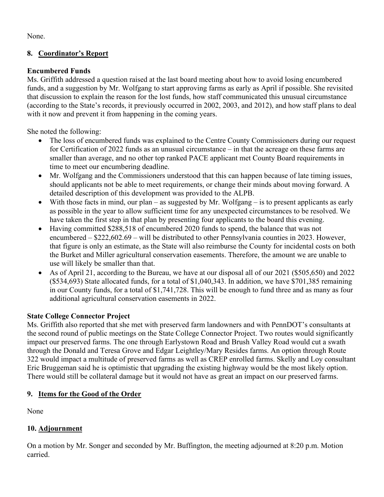None.

# **8. Coordinator's Report**

## **Encumbered Funds**

Ms. Griffith addressed a question raised at the last board meeting about how to avoid losing encumbered funds, and a suggestion by Mr. Wolfgang to start approving farms as early as April if possible. She revisited that discussion to explain the reason for the lost funds, how staff communicated this unusual circumstance (according to the State's records, it previously occurred in 2002, 2003, and 2012), and how staff plans to deal with it now and prevent it from happening in the coming years.

She noted the following:

- The loss of encumbered funds was explained to the Centre County Commissioners during our request for Certification of 2022 funds as an unusual circumstance – in that the acreage on these farms are smaller than average, and no other top ranked PACE applicant met County Board requirements in time to meet our encumbering deadline.
- Mr. Wolfgang and the Commissioners understood that this can happen because of late timing issues, should applicants not be able to meet requirements, or change their minds about moving forward. A detailed description of this development was provided to the ALPB.
- With those facts in mind, our plan as suggested by Mr. Wolfgang is to present applicants as early as possible in the year to allow sufficient time for any unexpected circumstances to be resolved. We have taken the first step in that plan by presenting four applicants to the board this evening.
- Having committed \$288,518 of encumbered 2020 funds to spend, the balance that was not encumbered – \$222,602.69 – will be distributed to other Pennsylvania counties in 2023. However, that figure is only an estimate, as the State will also reimburse the County for incidental costs on both the Burket and Miller agricultural conservation easements. Therefore, the amount we are unable to use will likely be smaller than that.
- As of April 21, according to the Bureau, we have at our disposal all of our 2021 (\$505,650) and 2022 (\$534,693) State allocated funds, for a total of \$1,040,343. In addition, we have \$701,385 remaining in our County funds, for a total of \$1,741,728. This will be enough to fund three and as many as four additional agricultural conservation easements in 2022.

# **State College Connector Project**

Ms. Griffith also reported that she met with preserved farm landowners and with PennDOT's consultants at the second round of public meetings on the State College Connector Project. Two routes would significantly impact our preserved farms. The one through Earlystown Road and Brush Valley Road would cut a swath through the Donald and Teresa Grove and Edgar Leightley/Mary Resides farms. An option through Route 322 would impact a multitude of preserved farms as well as CREP enrolled farms. Skelly and Loy consultant Eric Bruggeman said he is optimistic that upgrading the existing highway would be the most likely option. There would still be collateral damage but it would not have as great an impact on our preserved farms.

# **9. Items for the Good of the Order**

None

# **10. Adjournment**

On a motion by Mr. Songer and seconded by Mr. Buffington, the meeting adjourned at 8:20 p.m. Motion carried.